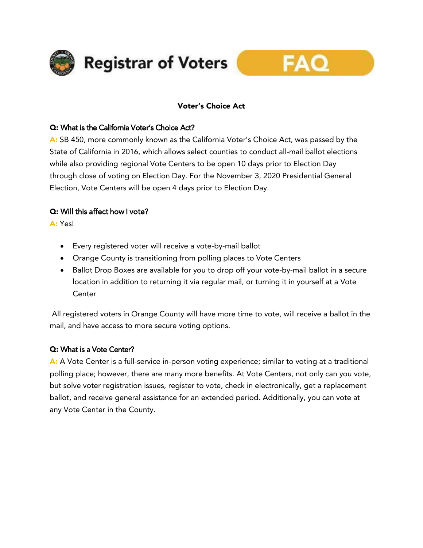

# Voter's Choice Act

## Q: What is the California Voter's Choice Act?

A: SB 450, more commonly known as the California Voter's Choice Act, was passed by the State of California in 2016, which allows select counties to conduct all-mail ballot elections while also providing regional Vote Centers to be open 10 days prior to Election Day through close of voting on Election Day. For the November 3, 2020 Presidential General Election, Vote Centers will be open 4 days prior to Election Day.

# Q: Will this affect how I vote?

A: Yes!

- Every registered voter will receive a vote-by-mail ballot
- Orange County is transitioning from polling places to Vote Centers
- Ballot Drop Boxes are available for you to drop off your vote-by-mail ballot in a secure location in addition to returning it via regular mail, or turning it in yourself at a Vote **Center**

All registered voters in Orange County will have more time to vote, will receive a ballot in the mail, and have access to more secure voting options.

# Q: What is a Vote Center?

A: A Vote Center is a full-service in-person voting experience; similar to voting at a traditional polling place; however, there are many more benefits. At Vote Centers, not only can you vote, but solve voter registration issues, register to vote, check in electronically, get a replacement ballot, and receive general assistance for an extended period. Additionally, you can vote at any Vote Center in the County.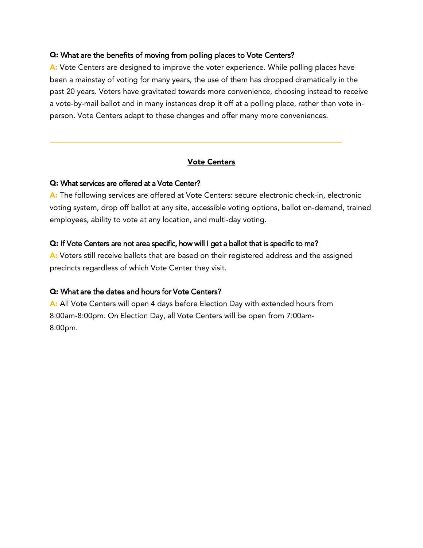#### Q: What are the benefits of moving from polling places to Vote Centers?

A: Vote Centers are designed to improve the voter experience. While polling places have been a mainstay of voting for many years, the use of them has dropped dramatically in the past 20 years. Voters have gravitated towards more convenience, choosing instead to receive a vote-by-mail ballot and in many instances drop it off at a polling place, rather than vote inperson. Vote Centers adapt to these changes and offer many more conveniences.

### Vote Centers

#### Q: What services are offered at a Vote Center?

A: The following services are offered at Vote Centers: secure electronic check-in, electronic voting system, drop off ballot at any site, accessible voting options, ballot on-demand, trained employees, ability to vote at any location, and multi-day voting.

#### Q: If Vote Centers are not area specific, how will I get a ballot that is specific to me?

A: Voters still receive ballots that are based on their registered address and the assigned precincts regardless of which Vote Center they visit.

#### Q: What are the dates and hours for Vote Centers?

A: All Vote Centers will open 4 days before Election Day with extended hours from 8:00am-8:00pm. On Election Day, all Vote Centers will be open from 7:00am-8:00pm.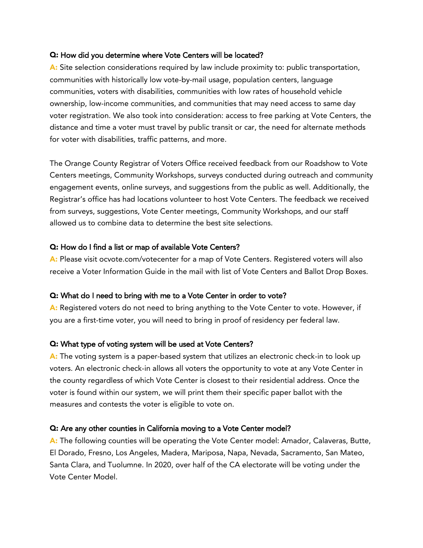#### Q: How did you determine where Vote Centers will be located?

A: Site selection considerations required by law include proximity to: public transportation, communities with historically low vote-by-mail usage, population centers, language communities, voters with disabilities, communities with low rates of household vehicle ownership, low-income communities, and communities that may need access to same day voter registration. We also took into consideration: access to free parking at Vote Centers, the distance and time a voter must travel by public transit or car, the need for alternate methods for voter with disabilities, traffic patterns, and more.

The Orange County Registrar of Voters Office received feedback from our Roadshow to Vote Centers meetings, Community Workshops, surveys conducted during outreach and community engagement events, online surveys, and suggestions from the public as well. Additionally, the Registrar's office has had locations volunteer to host Vote Centers. The feedback we received from surveys, suggestions, Vote Center meetings, Community Workshops, and our staff allowed us to combine data to determine the best site selections.

### Q: How do I find a list or map of available Vote Centers?

A: Please visit ocvote.com/votecenter for a map of Vote Centers. Registered voters will also receive a Voter Information Guide in the mail with list of Vote Centers and Ballot Drop Boxes.

#### Q: What do I need to bring with me to a Vote Center in order to vote?

A: Registered voters do not need to bring anything to the Vote Center to vote. However, if you are a first-time voter, you will need to bring in proof of residency per federal law.

### Q: What type of voting system will be used at Vote Centers?

A: The voting system is a paper-based system that utilizes an electronic check-in to look up voters. An electronic check-in allows all voters the opportunity to vote at any Vote Center in the county regardless of which Vote Center is closest to their residential address. Once the voter is found within our system, we will print them their specific paper ballot with the measures and contests the voter is eligible to vote on.

### Q: Are any other counties in California moving to a Vote Center model?

A: The following counties will be operating the Vote Center model: Amador, Calaveras, Butte, El Dorado, Fresno, Los Angeles, Madera, Mariposa, Napa, Nevada, Sacramento, San Mateo, Santa Clara, and Tuolumne. In 2020, over half of the CA electorate will be voting under the Vote Center Model.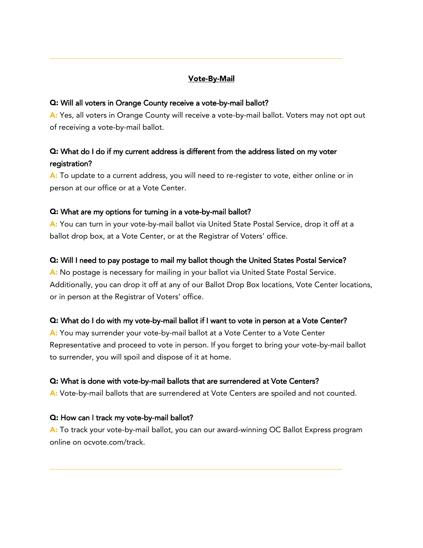# Vote-By-Mail

#### Q: Will all voters in Orange County receive a vote-by-mail ballot?

A: Yes, all voters in Orange County will receive a vote-by-mail ballot. Voters may not opt out of receiving a vote-by-mail ballot.

# Q: What do I do if my current address is different from the address listed on my voter registration?

A: To update to a current address, you will need to re-register to vote, either online or in person at our office or at a Vote Center.

#### Q: What are my options for turning in a vote-by-mail ballot?

A: You can turn in your vote-by-mail ballot via United State Postal Service, drop it off at a ballot drop box, at a Vote Center, or at the Registrar of Voters' office.

#### Q: Will I need to pay postage to mail my ballot though the United States Postal Service?

A: No postage is necessary for mailing in your ballot via United State Postal Service. Additionally, you can drop it off at any of our Ballot Drop Box locations, Vote Center locations, or in person at the Registrar of Voters' office.

#### Q: What do I do with my vote-by-mail ballot if I want to vote in person at a Vote Center?

A: You may surrender your vote-by-mail ballot at a Vote Center to a Vote Center Representative and proceed to vote in person. If you forget to bring your vote-by-mail ballot to surrender, you will spoil and dispose of it at home.

#### Q: What is done with vote-by-mail ballots that are surrendered at Vote Centers?

A: Vote-by-mail ballots that are surrendered at Vote Centers are spoiled and not counted.

#### Q: How can I track my vote-by-mail ballot?

A: To track your vote-by-mail ballot, you can our award-winning OC Ballot Express program online on ocvote.com/track.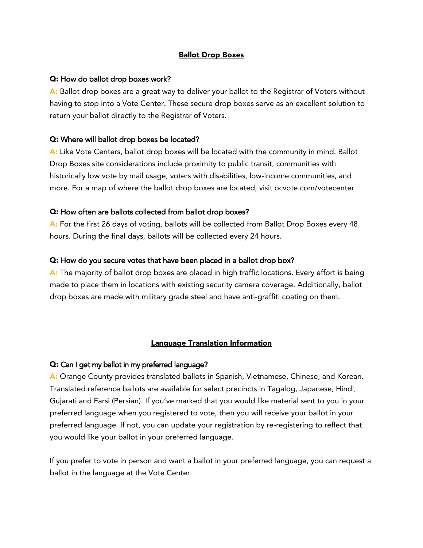#### Ballot Drop Boxes

#### Q: How do ballot drop boxes work?

A: Ballot drop boxes are a great way to deliver your ballot to the Registrar of Voters without having to stop into a Vote Center. These secure drop boxes serve as an excellent solution to return your ballot directly to the Registrar of Voters.

#### Q: Where will ballot drop boxes be located?

A: Like Vote Centers, ballot drop boxes will be located with the community in mind. Ballot Drop Boxes site considerations include proximity to public transit, communities with historically low vote by mail usage, voters with disabilities, low-income communities, and more. For a map of where the ballot drop boxes are located, visit ocvote.com/votecenter

#### Q: How often are ballots collected from ballot drop boxes?

A: For the first 26 days of voting, ballots will be collected from Ballot Drop Boxes every 48 hours. During the final days, ballots will be collected every 24 hours.

#### Q: How do you secure votes that have been placed in a ballot drop box?

A: The majority of ballot drop boxes are placed in high traffic locations. Every effort is being made to place them in locations with existing security camera coverage. Additionally, ballot drop boxes are made with military grade steel and have anti-graffiti coating on them.

### Language Translation Information

### Q: Can I get my ballot in my preferred language?

A: Orange County provides translated ballots in Spanish, Vietnamese, Chinese, and Korean. Translated reference ballots are available for select precincts in Tagalog, Japanese, Hindi, Gujarati and Farsi (Persian). If you've marked that you would like material sent to you in your preferred language when you registered to vote, then you will receive your ballot in your preferred language. If not, you can update your registration by re-registering to reflect that you would like your ballot in your preferred language.

If you prefer to vote in person and want a ballot in your preferred language, you can request a ballot in the language at the Vote Center.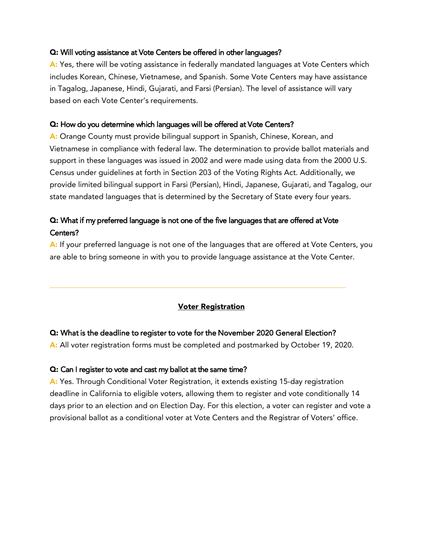#### Q: Will voting assistance at Vote Centers be offered in other languages?

A: Yes, there will be voting assistance in federally mandated languages at Vote Centers which includes Korean, Chinese, Vietnamese, and Spanish. Some Vote Centers may have assistance in Tagalog, Japanese, Hindi, Gujarati, and Farsi (Persian). The level of assistance will vary based on each Vote Center's requirements.

#### Q: How do you determine which languages will be offered at Vote Centers?

A: Orange County must provide bilingual support in Spanish, Chinese, Korean, and Vietnamese in compliance with federal law. The determination to provide ballot materials and support in these languages was issued in 2002 and were made using data from the 2000 U.S. Census under guidelines at forth in Section 203 of the Voting Rights Act. Additionally, we provide limited bilingual support in Farsi (Persian), Hindi, Japanese, Gujarati, and Tagalog, our state mandated languages that is determined by the Secretary of State every four years.

# Q: What if my preferred language is not one of the five languages that are offered at Vote Centers?

A: If your preferred language is not one of the languages that are offered at Vote Centers, you are able to bring someone in with you to provide language assistance at the Vote Center.

### Voter Registration

#### Q: What is the deadline to register to vote for the November 2020 General Election?

A: All voter registration forms must be completed and postmarked by October 19, 2020.

#### Q: Can I register to vote and cast my ballot at the same time?

A: Yes. Through Conditional Voter Registration, it extends existing 15-day registration deadline in California to eligible voters, allowing them to register and vote conditionally 14 days prior to an election and on Election Day. For this election, a voter can register and vote a provisional ballot as a conditional voter at Vote Centers and the Registrar of Voters' office.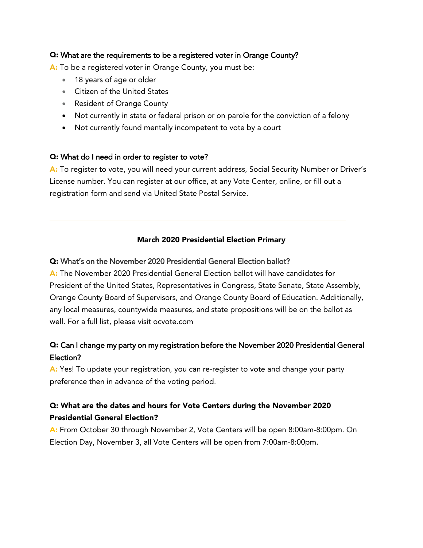### Q: What are the requirements to be a registered voter in Orange County?

A: To be a registered voter in Orange County, you must be:

- 18 years of age or older
- Citizen of the United States
- Resident of Orange County
- Not currently in state or federal prison or on parole for the conviction of a felony
- Not currently found mentally incompetent to vote by a court

### Q: What do I need in order to register to vote?

A: To register to vote, you will need your current address, Social Security Number or Driver's License number. You can register at our office, at any Vote Center, online, or fill out a registration form and send via United State Postal Service.

### March 2020 Presidential Election Primary

### Q: What's on the November 2020 Presidential General Election ballot?

A: The November 2020 Presidential General Election ballot will have candidates for President of the United States, Representatives in Congress, State Senate, State Assembly, Orange County Board of Supervisors, and Orange County Board of Education. Additionally, any local measures, countywide measures, and state propositions will be on the ballot as well. For a full list, please visit ocvote.com

# Q: Can I change my party on my registration before the November 2020 Presidential General Election?

A: Yes! To update your registration, you can re-register to vote and change your party preference then in advance of the voting period.

# Q: What are the dates and hours for Vote Centers during the November 2020 Presidential General Election?

A: From October 30 through November 2, Vote Centers will be open 8:00am-8:00pm. On Election Day, November 3, all Vote Centers will be open from 7:00am-8:00pm.